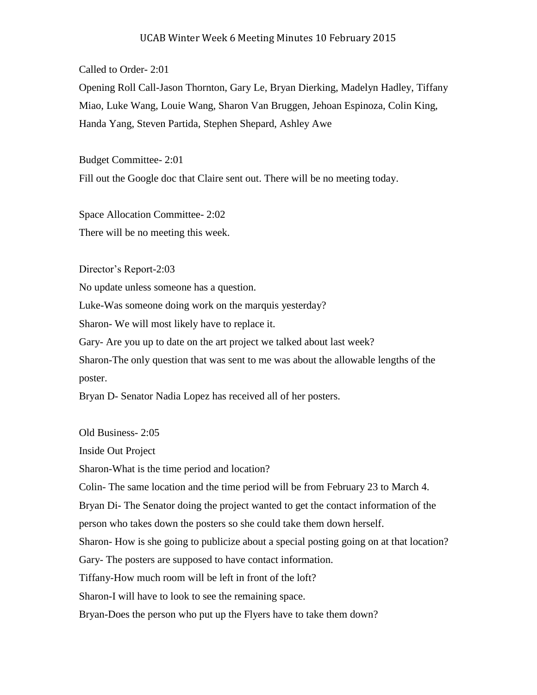## UCAB Winter Week 6 Meeting Minutes 10 February 2015

## Called to Order- 2:01

Opening Roll Call-Jason Thornton, Gary Le, Bryan Dierking, Madelyn Hadley, Tiffany Miao, Luke Wang, Louie Wang, Sharon Van Bruggen, Jehoan Espinoza, Colin King, Handa Yang, Steven Partida, Stephen Shepard, Ashley Awe

Budget Committee- 2:01 Fill out the Google doc that Claire sent out. There will be no meeting today.

Space Allocation Committee- 2:02 There will be no meeting this week.

Director's Report-2:03

No update unless someone has a question.

Luke-Was someone doing work on the marquis yesterday?

Sharon- We will most likely have to replace it.

Gary- Are you up to date on the art project we talked about last week?

Sharon-The only question that was sent to me was about the allowable lengths of the poster.

Bryan D- Senator Nadia Lopez has received all of her posters.

Old Business- 2:05

Inside Out Project

Sharon-What is the time period and location?

Colin- The same location and the time period will be from February 23 to March 4.

Bryan Di- The Senator doing the project wanted to get the contact information of the

person who takes down the posters so she could take them down herself.

Sharon- How is she going to publicize about a special posting going on at that location?

Gary- The posters are supposed to have contact information.

Tiffany-How much room will be left in front of the loft?

Sharon-I will have to look to see the remaining space.

Bryan-Does the person who put up the Flyers have to take them down?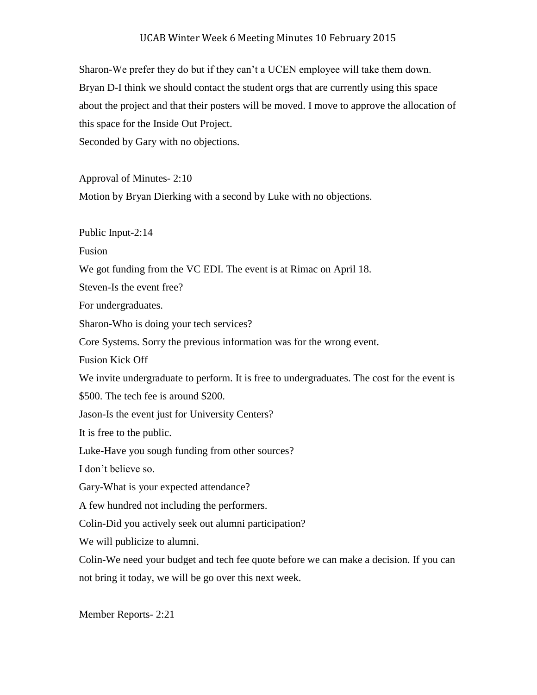## UCAB Winter Week 6 Meeting Minutes 10 February 2015

Sharon-We prefer they do but if they can't a UCEN employee will take them down. Bryan D-I think we should contact the student orgs that are currently using this space about the project and that their posters will be moved. I move to approve the allocation of this space for the Inside Out Project.

Seconded by Gary with no objections.

Approval of Minutes- 2:10

Motion by Bryan Dierking with a second by Luke with no objections.

Public Input-2:14

Fusion

We got funding from the VC EDI. The event is at Rimac on April 18.

Steven-Is the event free?

For undergraduates.

Sharon-Who is doing your tech services?

Core Systems. Sorry the previous information was for the wrong event.

Fusion Kick Off

We invite undergraduate to perform. It is free to undergraduates. The cost for the event is

\$500. The tech fee is around \$200.

Jason-Is the event just for University Centers?

It is free to the public.

Luke-Have you sough funding from other sources?

I don't believe so.

Gary-What is your expected attendance?

A few hundred not including the performers.

Colin-Did you actively seek out alumni participation?

We will publicize to alumni.

Colin-We need your budget and tech fee quote before we can make a decision. If you can not bring it today, we will be go over this next week.

Member Reports- 2:21